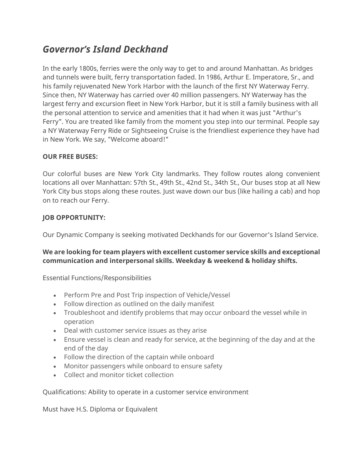## *Governor's Island Deckhand*

In the early 1800s, ferries were the only way to get to and around Manhattan. As bridges and tunnels were built, ferry transportation faded. In 1986, Arthur E. Imperatore, Sr., and his family rejuvenated New York Harbor with the launch of the first NY Waterway Ferry. Since then, NY Waterway has carried over 40 million passengers. NY Waterway has the largest ferry and excursion fleet in New York Harbor, but it is still a family business with all the personal attention to service and amenities that it had when it was just "Arthur's Ferry". You are treated like family from the moment you step into our terminal. People say a NY Waterway Ferry Ride or Sightseeing Cruise is the friendliest experience they have had in New York. We say, "Welcome aboard!"

## **OUR FREE BUSES:**

Our colorful buses are New York City landmarks. They follow routes along convenient locations all over Manhattan: 57th St., 49th St., 42nd St., 34th St., Our buses stop at all New York City bus stops along these routes. Just wave down our bus (like hailing a cab) and hop on to reach our Ferry.

## **JOB OPPORTUNITY:**

Our Dynamic Company is seeking motivated Deckhands for our Governor's Island Service.

## **We are looking for team players with excellent customer service skills and exceptional communication and interpersonal skills. Weekday & weekend & holiday shifts.**

Essential Functions/Responsibilities

- Perform Pre and Post Trip inspection of Vehicle/Vessel
- Follow direction as outlined on the daily manifest
- Troubleshoot and identify problems that may occur onboard the vessel while in operation
- Deal with customer service issues as they arise
- Ensure vessel is clean and ready for service, at the beginning of the day and at the end of the day
- Follow the direction of the captain while onboard
- Monitor passengers while onboard to ensure safety
- Collect and monitor ticket collection

Qualifications: Ability to operate in a customer service environment

Must have H.S. Diploma or Equivalent